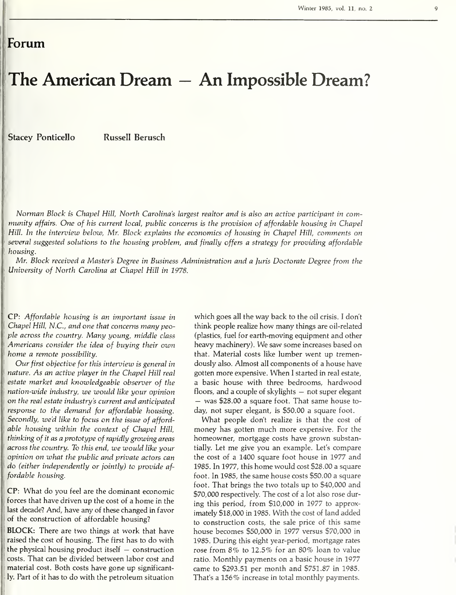## Forum

## The American Dream — An Impossible Dream?

Stacey Ponticello Russell Berusch

Norman Block is Chapel Hill, North Carolina's largest realtor and is also an active participant in community affairs. One of his current local, public concerns is the provision of affordable housing in Chapel Hill. In the interview below, Mr. Block explains the economics of housing in Chapel Hill, comments on several suggested solutions to the housing problem, and finally offers a strategy for providing affordable housing.

Mr. Block received a Master's Degree in Business Administration and a Juris Doctorate Degree from the University of North Carolina at Chapel Hill in 1978.

CP: Affordable housing is an important issue in Chapel Hill, N.C., and one that concerns many people across the country. Many young, middle class Americans consider the idea of buying their own home a remote possibility.

Our first objective for this interview is general in nature. As an active player in the Chapel Hill real estate market and knowledgeable observer of the nation-wide industry, we would like your opinion on the real estate industry's current and anticipated response to the demand for affordable housing. Secondly, we'd like to focus on the issue of afford able housing within the context of Chapel Hill, thinking of it as a prototype of rapidly growing areas across the country. To this end, we would like your opinion on what the public and private actors can do (either independently or jointly) to provide af fordable housing.

CP: What do you feel are the dominant economic forces that have driven up the cost of a home in the last decade? And, have any of these changed in favor of the construction of affordable housing?

BLOCK: There are two things at work that have raised the cost of housing. The first has to do with the physical housing product itself  $-$  construction costs. That can be divided between labor cost and material cost. Both costs have gone up significantly. Part of it has to do with the petroleum situation

which goes all the way back to the oil crisis. <sup>I</sup> don't think people realize how many things are oil-related (plastics, fuel for earth-moving equipment and other heavy machinery). We saw some increases based on that. Material costs like lumber went up tremen dously also. Almost all components of a house have gotten more expensive. When <sup>I</sup> started in real estate, a basic house with three bedrooms, hardwood floors, and <sup>a</sup> couple of skylights — not super elegant — was \$28.00 <sup>a</sup> square foot. That same house to day, not super elegant, is \$50.00 a square foot.

What people don't realize is that the cost of money has gotten much more expensive. For the homeowner, mortgage costs have grown substantially. Let me give you an example. Let's compare the cost of a 1400 square foot house in 1977 and 1985. In 1977, this home would cost \$28.00 a square foot. In 1985, the same house costs \$50.00 a square foot. That brings the two totals up to \$40,000 and \$70,000 respectively. The cost of a lot also rose during this period, from \$10,000 in 1977 to approximately \$18,000 in 1985. With the cost of land added to construction costs, the sale price of this same house becomes \$50,000 in 1977 versus \$70,000 in 1985. During this eight year-period, mortgage rates rose from 8% to 12.5% for an 80% loan to value ratio. Monthly payments on a basic house in 1977 came to \$293.51 per month and \$751.87 in 1985. That's a 156% increase in total monthly payments.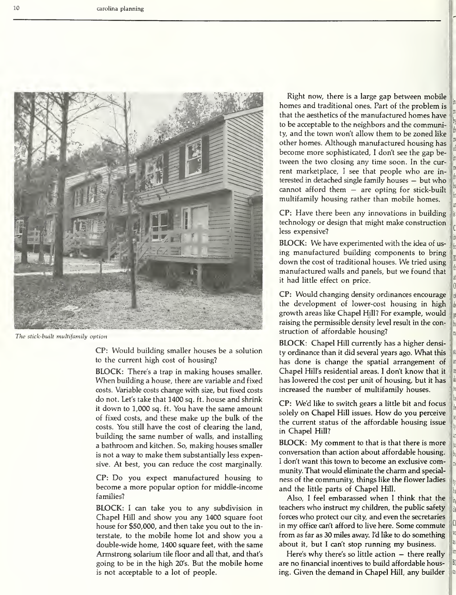

The stick-built multifamily option

CP: Would building smaller houses be a solution to the current high cost of housing?

BLOCK: There's <sup>a</sup> trap in making houses smaller. When building a house, there are variable and fixed costs. Variable costs change with size, but fixed costs do not. Let's take that 1400 sq. ft. house and shrink it down to 1,000 sq. ft. You have the same amount of fixed costs, and these make up the bulk of the costs. You still have the cost of clearing the land, building the same number of walls, and installing a bathroom and kitchen. So, making houses smaller is not a way to make them substantially less expensive. At best, you can reduce the cost marginally.

CP: Do you expect manufactured housing to become a more popular option for middle-income families?

BLOCK: <sup>I</sup> can take you to any subdivision in Chapel Hill and show you any 1400 square foot house for \$50,000, and then take you out to the interstate, to the mobile home lot and show you a double-wide home, 1400 square feet, with the same Armstrong solarium tile floor and all that, and that's going to be in the high 20's. But the mobile home is not acceptable to a lot of people.

Right now, there is a large gap between mobile homes and traditional ones. Part of the problem is that the aesthetics of the manufactured homes have to be acceptable to the neighbors and the community, and the town won't allow them to be zoned like other homes. Although manufactured housing has become more sophisticated, <sup>I</sup> don't see the gap be tween the two closing any time soon. In the current marketplace, <sup>I</sup> see that people who are in terested in detached single family houses — but who cannot afford them — are opting for stick-built multifamily housing rather than mobile homes.

CP: Have there been any innovations in building technology or design that might make construction less expensive?

BLOCK: We have experimented with the idea of us ing manufactured building components to bring down the cost of traditional houses. We tried using manufactured walls and panels, but we found that it had little effect on price.

CP: Would changing density ordinances encourage the development of lower-cost housing in high growth areas like Chapel Hill? For example, would raising the permissible density level result in the construction of affordable housing?

BLOCK: Chapel Hill currently has a higher density ordinance than it did several years ago. What this has done is change the spatial arrangement of Chapel Hill's residential areas. <sup>I</sup> don't know that it has lowered the cost per unit of housing, but it has increased the number of multifamily houses.

CP: We'd like to switch gears a little bit and focus solely on Chapel Hill issues. How do you perceive the current status of the affordable housing issue in Chapel Hill?

BLOCK: My comment to that is that there is more conversation than action about affordable housing. <sup>I</sup> don't want this town to become an exclusive community. That would eliminate the charm and special ness of the community, things like the flower ladies and the little parts of Chapel Hill.

Also, <sup>I</sup> feel embarassed when <sup>I</sup> think that the teachers who instruct my children, the public safety forces who protect our city, and even the secretaries in my office can't afford to live here. Some commute from as far as 30 miles away. I'd like to do something about it, but <sup>I</sup> can't stop running my business.

Here's why there's so little action — there really are no financial incentives to build affordable housing. Given the demand in Chapel Hill, any builder